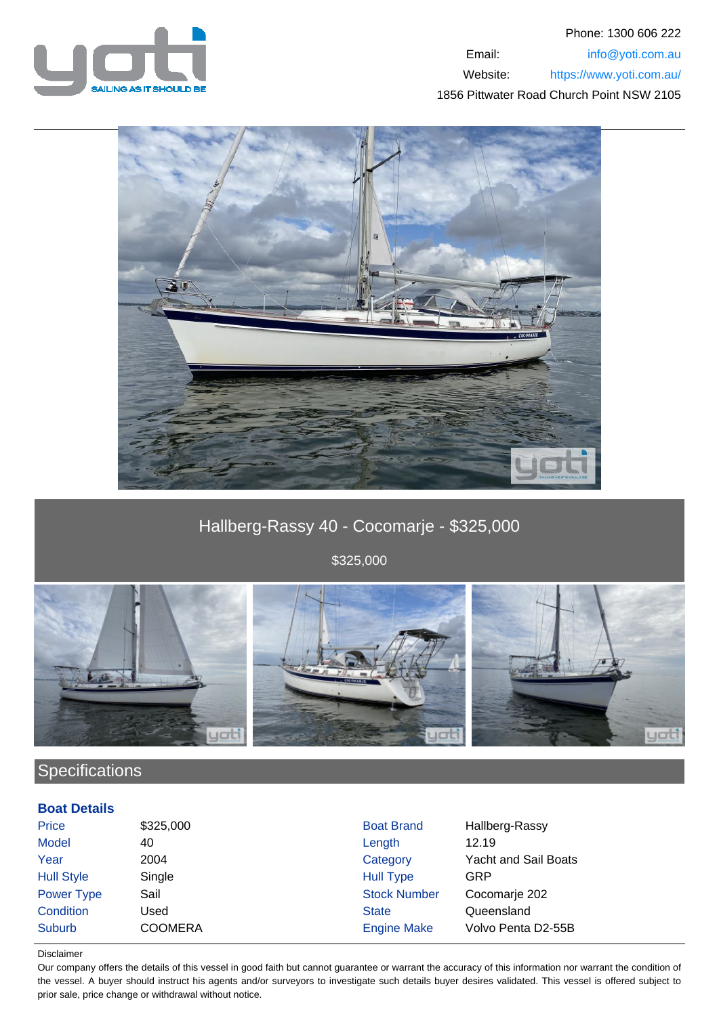



# Hallberg-Rassy 40 - Cocomarje - \$325,000

\$325,000



## **Specifications**

### **Boat Details**

| <b>Price</b>      | \$325,000      | <b>Boat Brand</b>   | Hallberg-Rassy              |
|-------------------|----------------|---------------------|-----------------------------|
| Model             | 40             | Length              | 12.19                       |
| Year              | 2004           | Category            | <b>Yacht and Sail Boats</b> |
| <b>Hull Style</b> | Single         | <b>Hull Type</b>    | GRP                         |
| <b>Power Type</b> | Sail           | <b>Stock Number</b> | Cocomarje 202               |
| Condition         | Jsed           | <b>State</b>        | Queensland                  |
| Suburb            | <b>COOMERA</b> | <b>Engine Make</b>  | Volvo Penta D2-55B          |

#### Disclaimer

Our company offers the details of this vessel in good faith but cannot guarantee or warrant the accuracy of this information nor warrant the condition of the vessel. A buyer should instruct his agents and/or surveyors to investigate such details buyer desires validated. This vessel is offered subject to prior sale, price change or withdrawal without notice.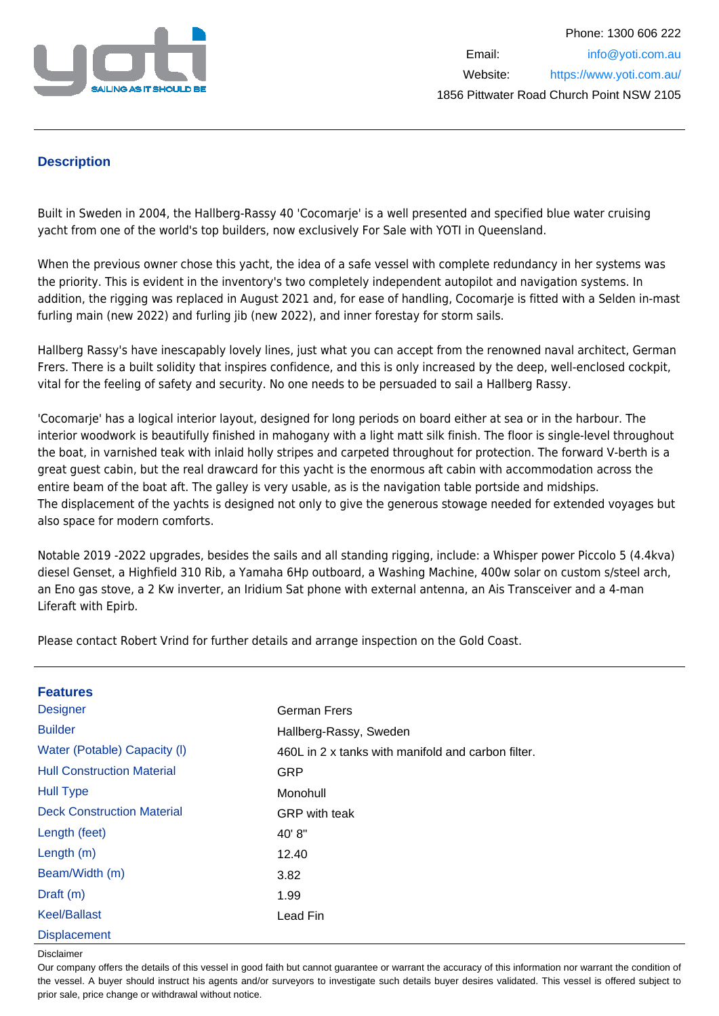

## **Description**

Built in Sweden in 2004, the Hallberg-Rassy 40 'Cocomarie' is a well presented and specified blue water cruising yacht from one of the world's top builders, now exclusively For Sale with YOTI in Queensland.

When the previous owner chose this yacht, the idea of a safe vessel with complete redundancy in her systems was the priority. This is evident in the inventory's two completely independent autopilot and navigation systems. In addition, the rigging was replaced in August 2021 and, for ease of handling, Cocomarje is fitted with a Selden in-mast furling main (new 2022) and furling jib (new 2022), and inner forestay for storm sails.

Hallberg Rassy's have inescapably lovely lines, just what you can accept from the renowned naval architect, German Frers. There is a built solidity that inspires confidence, and this is only increased by the deep, well-enclosed cockpit, vital for the feeling of safety and security. No one needs to be persuaded to sail a Hallberg Rassy.

'Cocomarje' has a logical interior layout, designed for long periods on board either at sea or in the harbour. The interior woodwork is beautifully finished in mahogany with a light matt silk finish. The floor is single-level throughout the boat, in varnished teak with inlaid holly stripes and carpeted throughout for protection. The forward V-berth is a great guest cabin, but the real drawcard for this yacht is the enormous aft cabin with accommodation across the entire beam of the boat aft. The galley is very usable, as is the navigation table portside and midships. The displacement of the yachts is designed not only to give the generous stowage needed for extended voyages but also space for modern comforts.

Notable 2019 -2022 upgrades, besides the sails and all standing rigging, include: a Whisper power Piccolo 5 (4.4kva) diesel Genset, a Highfield 310 Rib, a Yamaha 6Hp outboard, a Washing Machine, 400w solar on custom s/steel arch, an Eno gas stove, a 2 Kw inverter, an Iridium Sat phone with external antenna, an Ais Transceiver and a 4-man Liferaft with Epirb.

Please contact Robert Vrind for further details and arrange inspection on the Gold Coast.

| <b>Features</b>                   |                                                    |
|-----------------------------------|----------------------------------------------------|
| <b>Designer</b>                   | German Frers                                       |
| <b>Builder</b>                    | Hallberg-Rassy, Sweden                             |
| Water (Potable) Capacity (I)      | 460L in 2 x tanks with manifold and carbon filter. |
| <b>Hull Construction Material</b> | GRP                                                |
| <b>Hull Type</b>                  | Monohull                                           |
| <b>Deck Construction Material</b> | <b>GRP</b> with teak                               |
| Length (feet)                     | 40' 8"                                             |
| Length $(m)$                      | 12.40                                              |
| Beam/Width (m)                    | 3.82                                               |
| Draft $(m)$                       | 1.99                                               |
| <b>Keel/Ballast</b>               | Lead Fin                                           |
| <b>Displacement</b>               |                                                    |

Disclaimer

Our company offers the details of this vessel in good faith but cannot guarantee or warrant the accuracy of this information nor warrant the condition of the vessel. A buyer should instruct his agents and/or surveyors to investigate such details buyer desires validated. This vessel is offered subject to prior sale, price change or withdrawal without notice.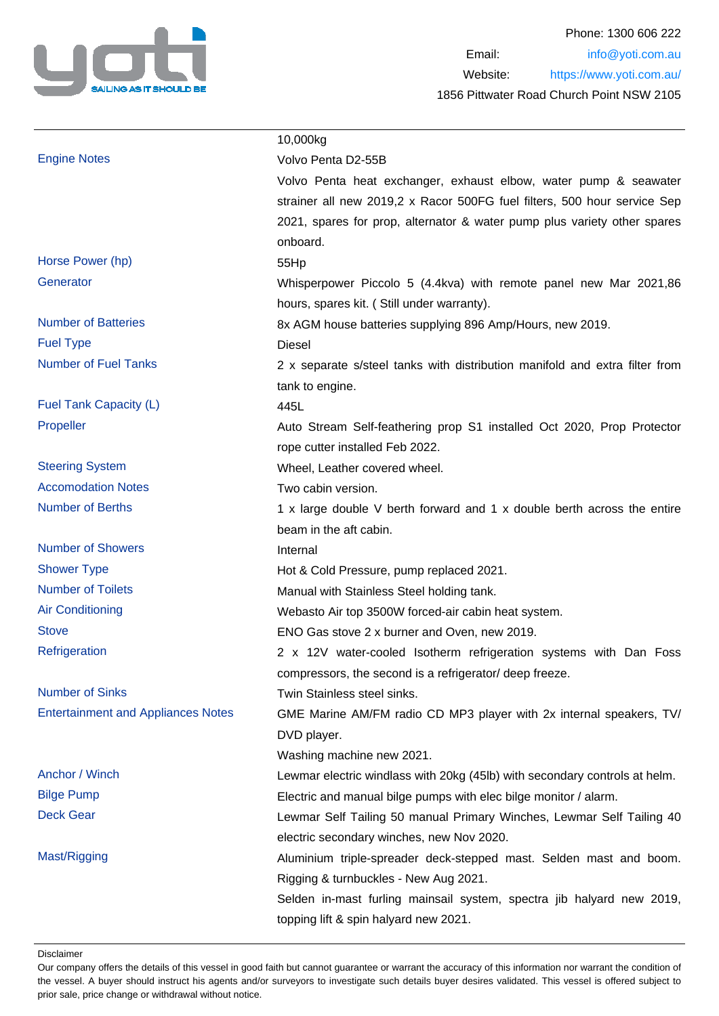

|                                           | 10,000kg                                                                    |
|-------------------------------------------|-----------------------------------------------------------------------------|
| <b>Engine Notes</b>                       | Volvo Penta D2-55B                                                          |
|                                           | Volvo Penta heat exchanger, exhaust elbow, water pump & seawater            |
|                                           | strainer all new 2019,2 x Racor 500FG fuel filters, 500 hour service Sep    |
|                                           | 2021, spares for prop, alternator & water pump plus variety other spares    |
|                                           | onboard.                                                                    |
| Horse Power (hp)                          | 55Hp                                                                        |
| Generator                                 | Whisperpower Piccolo 5 (4.4kva) with remote panel new Mar 2021,86           |
|                                           | hours, spares kit. (Still under warranty).                                  |
| <b>Number of Batteries</b>                | 8x AGM house batteries supplying 896 Amp/Hours, new 2019.                   |
| <b>Fuel Type</b>                          | <b>Diesel</b>                                                               |
| <b>Number of Fuel Tanks</b>               | 2 x separate s/steel tanks with distribution manifold and extra filter from |
|                                           | tank to engine.                                                             |
| Fuel Tank Capacity (L)                    | 445L                                                                        |
| Propeller                                 | Auto Stream Self-feathering prop S1 installed Oct 2020, Prop Protector      |
|                                           | rope cutter installed Feb 2022.                                             |
| <b>Steering System</b>                    | Wheel, Leather covered wheel.                                               |
| <b>Accomodation Notes</b>                 | Two cabin version.                                                          |
| <b>Number of Berths</b>                   | 1 x large double V berth forward and 1 x double berth across the entire     |
|                                           | beam in the aft cabin.                                                      |
| <b>Number of Showers</b>                  | Internal                                                                    |
| <b>Shower Type</b>                        | Hot & Cold Pressure, pump replaced 2021.                                    |
| <b>Number of Toilets</b>                  | Manual with Stainless Steel holding tank.                                   |
| <b>Air Conditioning</b>                   | Webasto Air top 3500W forced-air cabin heat system.                         |
| <b>Stove</b>                              | ENO Gas stove 2 x burner and Oven, new 2019.                                |
| Refrigeration                             | 2 x 12V water-cooled Isotherm refrigeration systems with Dan Foss           |
|                                           | compressors, the second is a refrigerator/ deep freeze.                     |
| <b>Number of Sinks</b>                    | Twin Stainless steel sinks.                                                 |
| <b>Entertainment and Appliances Notes</b> | GME Marine AM/FM radio CD MP3 player with 2x internal speakers, TV/         |
|                                           | DVD player.                                                                 |
|                                           | Washing machine new 2021.                                                   |
| Anchor / Winch                            | Lewmar electric windlass with 20kg (45lb) with secondary controls at helm.  |
| <b>Bilge Pump</b>                         | Electric and manual bilge pumps with elec bilge monitor / alarm.            |
| <b>Deck Gear</b>                          | Lewmar Self Tailing 50 manual Primary Winches, Lewmar Self Tailing 40       |
|                                           | electric secondary winches, new Nov 2020.                                   |
| Mast/Rigging                              | Aluminium triple-spreader deck-stepped mast. Selden mast and boom.          |
|                                           | Rigging & turnbuckles - New Aug 2021.                                       |
|                                           | Selden in-mast furling mainsail system, spectra jib halyard new 2019,       |
|                                           | topping lift & spin halyard new 2021.                                       |

Disclaimer

Our company offers the details of this vessel in good faith but cannot guarantee or warrant the accuracy of this information nor warrant the condition of the vessel. A buyer should instruct his agents and/or surveyors to investigate such details buyer desires validated. This vessel is offered subject to prior sale, price change or withdrawal without notice.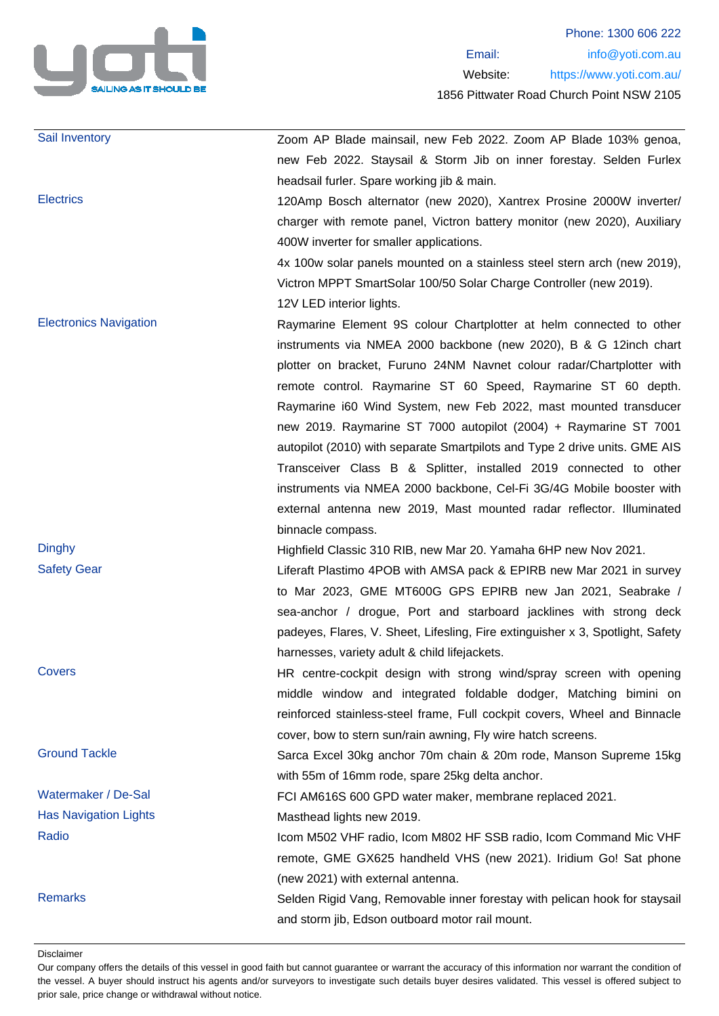

| Sail Inventory                | Zoom AP Blade mainsail, new Feb 2022. Zoom AP Blade 103% genoa,                |
|-------------------------------|--------------------------------------------------------------------------------|
|                               | new Feb 2022. Staysail & Storm Jib on inner forestay. Selden Furlex            |
|                               | headsail furler. Spare working jib & main.                                     |
| <b>Electrics</b>              | 120Amp Bosch alternator (new 2020), Xantrex Prosine 2000W inverter/            |
|                               | charger with remote panel, Victron battery monitor (new 2020), Auxiliary       |
|                               | 400W inverter for smaller applications.                                        |
|                               | 4x 100w solar panels mounted on a stainless steel stern arch (new 2019),       |
|                               | Victron MPPT SmartSolar 100/50 Solar Charge Controller (new 2019).             |
|                               | 12V LED interior lights.                                                       |
| <b>Electronics Navigation</b> | Raymarine Element 9S colour Chartplotter at helm connected to other            |
|                               | instruments via NMEA 2000 backbone (new 2020), B & G 12inch chart              |
|                               | plotter on bracket, Furuno 24NM Navnet colour radar/Chartplotter with          |
|                               | remote control. Raymarine ST 60 Speed, Raymarine ST 60 depth.                  |
|                               | Raymarine i60 Wind System, new Feb 2022, mast mounted transducer               |
|                               | new 2019. Raymarine ST 7000 autopilot (2004) + Raymarine ST 7001               |
|                               | autopilot (2010) with separate Smartpilots and Type 2 drive units. GME AIS     |
|                               | Transceiver Class B & Splitter, installed 2019 connected to other              |
|                               | instruments via NMEA 2000 backbone, Cel-Fi 3G/4G Mobile booster with           |
|                               | external antenna new 2019, Mast mounted radar reflector. Illuminated           |
|                               | binnacle compass.                                                              |
|                               |                                                                                |
| <b>Dinghy</b>                 | Highfield Classic 310 RIB, new Mar 20. Yamaha 6HP new Nov 2021.                |
| <b>Safety Gear</b>            | Liferaft Plastimo 4POB with AMSA pack & EPIRB new Mar 2021 in survey           |
|                               | to Mar 2023, GME MT600G GPS EPIRB new Jan 2021, Seabrake /                     |
|                               | sea-anchor / drogue, Port and starboard jacklines with strong deck             |
|                               | padeyes, Flares, V. Sheet, Lifesling, Fire extinguisher x 3, Spotlight, Safety |
|                               | harnesses, variety adult & child lifejackets.                                  |
| <b>Covers</b>                 | HR centre-cockpit design with strong wind/spray screen with opening            |
|                               | middle window and integrated foldable dodger, Matching bimini on               |
|                               | reinforced stainless-steel frame, Full cockpit covers, Wheel and Binnacle      |
|                               | cover, bow to stern sun/rain awning, Fly wire hatch screens.                   |
| <b>Ground Tackle</b>          | Sarca Excel 30kg anchor 70m chain & 20m rode, Manson Supreme 15kg              |
|                               | with 55m of 16mm rode, spare 25kg delta anchor.                                |
| Watermaker / De-Sal           | FCI AM616S 600 GPD water maker, membrane replaced 2021.                        |
| <b>Has Navigation Lights</b>  | Masthead lights new 2019.                                                      |
| Radio                         | Icom M502 VHF radio, Icom M802 HF SSB radio, Icom Command Mic VHF              |
|                               | remote, GME GX625 handheld VHS (new 2021). Iridium Go! Sat phone               |
|                               | (new 2021) with external antenna.                                              |
| <b>Remarks</b>                | Selden Rigid Vang, Removable inner forestay with pelican hook for staysail     |
|                               | and storm jib, Edson outboard motor rail mount.                                |

Disclaimer

Our company offers the details of this vessel in good faith but cannot guarantee or warrant the accuracy of this information nor warrant the condition of the vessel. A buyer should instruct his agents and/or surveyors to investigate such details buyer desires validated. This vessel is offered subject to prior sale, price change or withdrawal without notice.